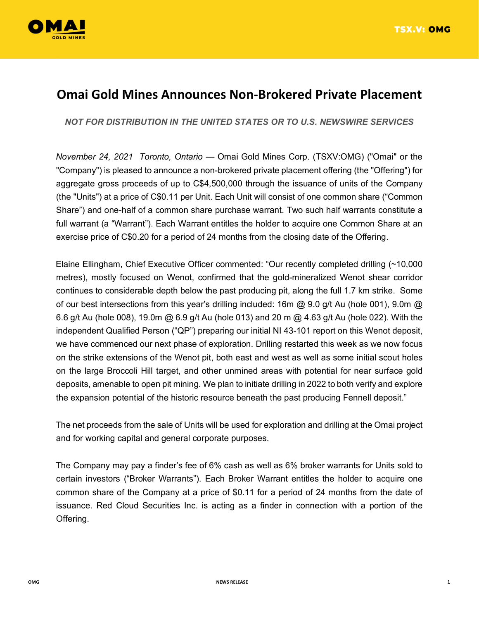

## **Omai Gold Mines Announces Non-Brokered Private Placement**

*NOT FOR DISTRIBUTION IN THE UNITED STATES OR TO U.S. NEWSWIRE SERVICES* 

*November 24, 2021 Toronto, Ontario* — Omai Gold Mines Corp. (TSXV:OMG) ("Omai" or the "Company") is pleased to announce a non-brokered private placement offering (the "Offering") for aggregate gross proceeds of up to C\$4,500,000 through the issuance of units of the Company (the "Units") at a price of C\$0.11 per Unit. Each Unit will consist of one common share ("Common Share") and one-half of a common share purchase warrant. Two such half warrants constitute a full warrant (a "Warrant"). Each Warrant entitles the holder to acquire one Common Share at an exercise price of C\$0.20 for a period of 24 months from the closing date of the Offering.

Elaine Ellingham, Chief Executive Officer commented: "Our recently completed drilling (~10,000 metres), mostly focused on Wenot, confirmed that the gold-mineralized Wenot shear corridor continues to considerable depth below the past producing pit, along the full 1.7 km strike. Some of our best intersections from this year's drilling included: 16m  $@$  9.0 g/t Au (hole 001), 9.0m  $@$ 6.6 g/t Au (hole 008), 19.0m @ 6.9 g/t Au (hole 013) and 20 m @ 4.63 g/t Au (hole 022). With the independent Qualified Person ("QP") preparing our initial NI 43-101 report on this Wenot deposit, we have commenced our next phase of exploration. Drilling restarted this week as we now focus on the strike extensions of the Wenot pit, both east and west as well as some initial scout holes on the large Broccoli Hill target, and other unmined areas with potential for near surface gold deposits, amenable to open pit mining. We plan to initiate drilling in 2022 to both verify and explore the expansion potential of the historic resource beneath the past producing Fennell deposit."

The net proceeds from the sale of Units will be used for exploration and drilling at the Omai project and for working capital and general corporate purposes.

The Company may pay a finder's fee of 6% cash as well as 6% broker warrants for Units sold to certain investors ("Broker Warrants"). Each Broker Warrant entitles the holder to acquire one common share of the Company at a price of \$0.11 for a period of 24 months from the date of issuance. Red Cloud Securities Inc. is acting as a finder in connection with a portion of the Offering.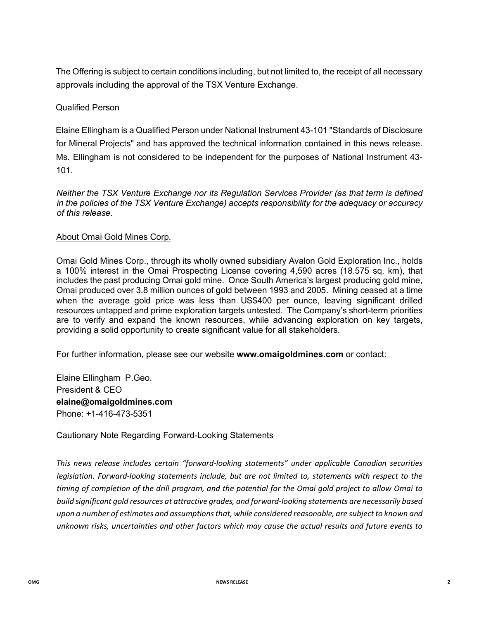The Offering is subject to certain conditions including, but not limited to, the receipt of all necessary approvals including the approval of the TSX Venture Exchange.

## Qualified Person

Elaine Ellingham is a Qualified Person under National Instrument 43-101 "Standards of Disclosure for Mineral Projects" and has approved the technical information contained in this news release. Ms. Ellingham is not considered to be independent for the purposes of National Instrument 43- 101.

*Neither the TSX Venture Exchange nor its Regulation Services Provider (as that term is defined in the policies of the TSX Venture Exchange) accepts responsibility for the adequacy or accuracy of this release.* 

## About Omai Gold Mines Corp.

Omai Gold Mines Corp., through its wholly owned subsidiary Avalon Gold Exploration Inc., holds a 100% interest in the Omai Prospecting License covering 4,590 acres (18.575 sq. km), that includes the past producing Omai gold mine. Once South America's largest producing gold mine, Omai produced over 3.8 million ounces of gold between 1993 and 2005. Mining ceased at a time when the average gold price was less than US\$400 per ounce, leaving significant drilled resources untapped and prime exploration targets untested. The Company's short-term priorities are to verify and expand the known resources, while advancing exploration on key targets, providing a solid opportunity to create significant value for all stakeholders.

For further information, please see our website **www.omaigoldmines.com** or contact:

Elaine Ellingham P.Geo. President & CEO **elaine@omaigoldmines.com**  Phone: +1-416-473-5351

Cautionary Note Regarding Forward-Looking Statements

*This news release includes certain "forward-looking statements" under applicable Canadian securities legislation. Forward-looking statements include, but are not limited to, statements with respect to the timing of completion of the drill program, and the potential for the Omai gold project to allow Omai to build significant gold resources at attractive grades, and forward-looking statements are necessarily based upon a number of estimates and assumptions that, while considered reasonable, are subject to known and unknown risks, uncertainties and other factors which may cause the actual results and future events to*